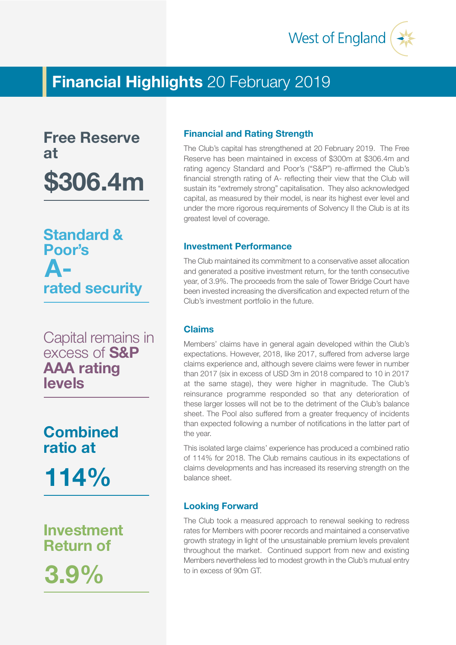

# **Financial Highlights** 20 February 2019

**Free Reserve at \$306.4m**

**Standard & Poor's rated security A-**

Capital remains in excess of **S&P AAA rating levels**

**Combined ratio at 114%**

**Investment Return of**

**3.9%**

# **Financial and Rating Strength**

The Club's capital has strengthened at 20 February 2019. The Free Reserve has been maintained in excess of \$300m at \$306.4m and rating agency Standard and Poor's ("S&P") re-affirmed the Club's financial strength rating of A- reflecting their view that the Club will sustain its "extremely strong" capitalisation. They also acknowledged capital, as measured by their model, is near its highest ever level and under the more rigorous requirements of Solvency II the Club is at its greatest level of coverage.

# **Investment Performance**

The Club maintained its commitment to a conservative asset allocation and generated a positive investment return, for the tenth consecutive year, of 3.9%. The proceeds from the sale of Tower Bridge Court have been invested increasing the diversification and expected return of the Club's investment portfolio in the future.

## **Claims**

Members' claims have in general again developed within the Club's expectations. However, 2018, like 2017, suffered from adverse large claims experience and, although severe claims were fewer in number than 2017 (six in excess of USD 3m in 2018 compared to 10 in 2017 at the same stage), they were higher in magnitude. The Club's reinsurance programme responded so that any deterioration of these larger losses will not be to the detriment of the Club's balance sheet. The Pool also suffered from a greater frequency of incidents than expected following a number of notifications in the latter part of the year.

This isolated large claims' experience has produced a combined ratio of 114% for 2018. The Club remains cautious in its expectations of claims developments and has increased its reserving strength on the balance sheet.

## **Looking Forward**

The Club took a measured approach to renewal seeking to redress rates for Members with poorer records and maintained a conservative growth strategy in light of the unsustainable premium levels prevalent throughout the market. Continued support from new and existing Members nevertheless led to modest growth in the Club's mutual entry to in excess of 90m GT.